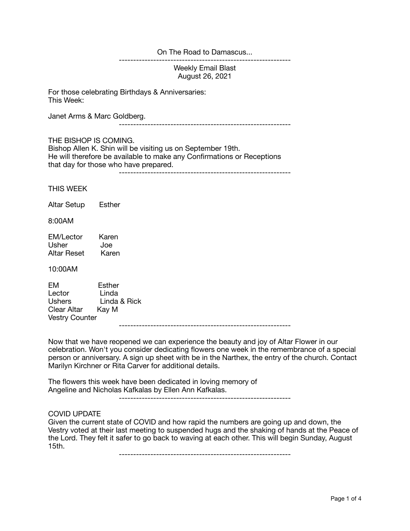## On The Road to Damascus...

------------------------------------------------------------

Weekly Email Blast August 26, 2021

For those celebrating Birthdays & Anniversaries: This Week:

Janet Arms & Marc Goldberg.

------------------------------------------------------------

THE BISHOP IS COMING.

Bishop Allen K. Shin will be visiting us on September 19th. He will therefore be available to make any Confirmations or Receptions that day for those who have prepared.

------------------------------------------------------------

THIS WEEK

Altar Setup Esther

8:00AM

EM/Lector Karen<br>Usher Joe Usher Joe<br>Altar Reset Karen Altar Reset

10:00AM

EM Esther<br>Lector Linda Lector<br>Ushers Linda & Rick Clear Altar Kay M Vestry Counter ------------------------------------------------------------

Now that we have reopened we can experience the beauty and joy of Altar Flower in our celebration. Won't you consider dedicating flowers one week in the remembrance of a special person or anniversary. A sign up sheet with be in the Narthex, the entry of the church. Contact Marilyn Kirchner or Rita Carver for additional details.

The flowers this week have been dedicated in loving memory of Angeline and Nicholas Kafkalas by Ellen Ann Kafkalas.

------------------------------------------------------------

## COVID UPDATE

Given the current state of COVID and how rapid the numbers are going up and down, the Vestry voted at their last meeting to suspended hugs and the shaking of hands at the Peace of the Lord. They felt it safer to go back to waving at each other. This will begin Sunday, August 15th.

------------------------------------------------------------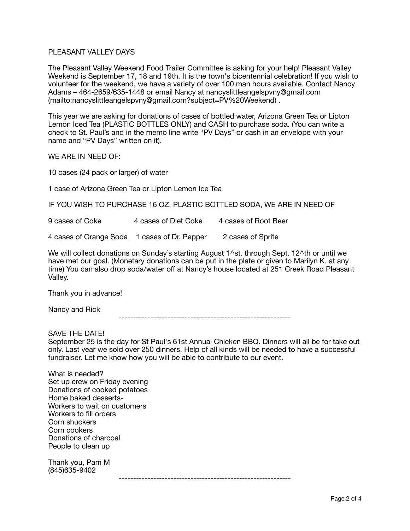## PI FASANT VALLEY DAYS

The Pleasant Valley Weekend Food Trailer Committee is asking for your help! Pleasant Valley Weekend is September 17, 18 and 19th. It is the town's bicentennial celebration! If you wish to volunteer for the weekend, we have a variety of over 100 man hours available. Contact Nancy Adams – 464-2659/635-1448 or email Nancy at nancyslittleangelspvny@gmail.com (mailto:nancyslittleangelspvny@gmail.com?subject=PV%20Weekend) .

This year we are asking for donations of cases of bottled water, Arizona Green Tea or Lipton Lemon Iced Tea (PLASTIC BOTTLES ONLY) and CASH to purchase soda. (You can write a check to St. Paul's and in the memo line write "PV Days" or cash in an envelope with your name and "PV Days" written on it).

WE ARE IN NEED OF:

10 cases (24 pack or larger) of water

1 case of Arizona Green Tea or Lipton Lemon Ice Tea

IF YOU WISH TO PURCHASE 16 OZ. PLASTIC BOTTLED SODA, WE ARE IN NEED OF

| 9 cases of Coke                              | 4 cases of Diet Coke | 4 cases of Root Beer |
|----------------------------------------------|----------------------|----------------------|
| 4 cases of Orange Soda 1 cases of Dr. Pepper |                      | 2 cases of Sprite    |

We will collect donations on Sunday's starting August 1^st. through Sept. 12^th or until we have met our goal. (Monetary donations can be put in the plate or given to Marilyn K. at any time) You can also drop soda/water off at Nancy's house located at 251 Creek Road Pleasant Valley.

Thank you in advance!

Nancy and Rick

------------------------------------------------------------

SAVE THE DATE!

September 25 is the day for St Paul's 61st Annual Chicken BBQ. Dinners will all be for take out only. Last year we sold over 250 dinners. Help of all kinds will be needed to have a successful fundraiser. Let me know how you will be able to contribute to our event.

What is needed? Set up crew on Friday evening Donations of cooked potatoes Home baked desserts-Workers to wait on customers Workers to fill orders Corn shuckers Corn cookers Donations of charcoal People to clean up

Thank you, Pam M (845)635-9402

------------------------------------------------------------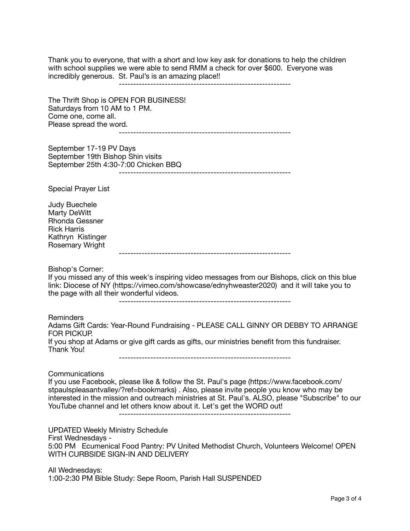Thank you to everyone, that with a short and low key ask for donations to help the children with school supplies we were able to send RMM a check for over \$600. Everyone was incredibly generous. St. Paul's is an amazing place!!

| $\overline{a}$ increasing generous. Or, I dure is differently place:                                                                                                                                                                                                                                                                                                                                                     |
|--------------------------------------------------------------------------------------------------------------------------------------------------------------------------------------------------------------------------------------------------------------------------------------------------------------------------------------------------------------------------------------------------------------------------|
| The Thrift Shop is OPEN FOR BUSINESS!<br>Saturdays from 10 AM to 1 PM.<br>Come one, come all.<br>Please spread the word.                                                                                                                                                                                                                                                                                                 |
| September 17-19 PV Days<br>September 19th Bishop Shin visits<br>September 25th 4:30-7:00 Chicken BBQ                                                                                                                                                                                                                                                                                                                     |
| <b>Special Prayer List</b>                                                                                                                                                                                                                                                                                                                                                                                               |
| <b>Judy Buechele</b><br>Marty DeWitt<br><b>Rhonda Gessner</b><br><b>Rick Harris</b><br>Kathryn Kistinger<br>Rosemary Wright                                                                                                                                                                                                                                                                                              |
| Bishop's Corner:<br>If you missed any of this week's inspiring video messages from our Bishops, click on this blue<br>link: Diocese of NY (https://vimeo.com/showcase/ednyhweaster2020) and it will take you to<br>the page with all their wonderful videos.                                                                                                                                                             |
| Reminders<br>Adams Gift Cards: Year-Round Fundraising - PLEASE CALL GINNY OR DEBBY TO ARRANGE<br>FOR PICKUP.<br>If you shop at Adams or give gift cards as gifts, our ministries benefit from this fundraiser.<br>Thank You!                                                                                                                                                                                             |
| Communications<br>If you use Facebook, please like & follow the St. Paul's page (https://www.facebook.com/<br>stpaulspleasantvalley/?ref=bookmarks). Also, please invite people you know who may be<br>interested in the mission and outreach ministries at St. Paul's. ALSO, please "Subscribe" to our<br>YouTube channel and let others know about it. Let's get the WORD out!<br>------------------------------------ |
| <b>UPDATED Weekly Ministry Schedule</b>                                                                                                                                                                                                                                                                                                                                                                                  |

First Wednesdays - 5:00 PM Ecumenical Food Pantry: PV United Methodist Church, Volunteers Welcome! OPEN WITH CURBSIDE SIGN-IN AND DELIVERY

All Wednesdays: 1:00-2:30 PM Bible Study: Sepe Room, Parish Hall SUSPENDED